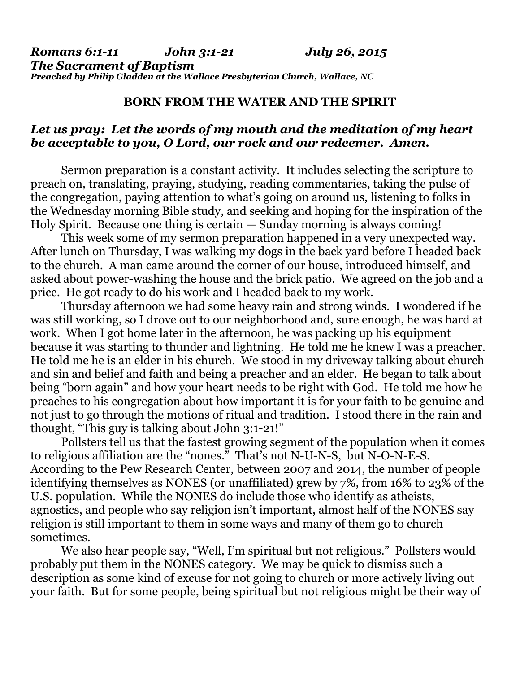## **BORN FROM THE WATER AND THE SPIRIT**

## *Let us pray: Let the words of my mouth and the meditation of my heart be acceptable to you, O Lord, our rock and our redeemer. Amen.*

Sermon preparation is a constant activity. It includes selecting the scripture to preach on, translating, praying, studying, reading commentaries, taking the pulse of the congregation, paying attention to what's going on around us, listening to folks in the Wednesday morning Bible study, and seeking and hoping for the inspiration of the Holy Spirit. Because one thing is certain — Sunday morning is always coming!

 This week some of my sermon preparation happened in a very unexpected way. After lunch on Thursday, I was walking my dogs in the back yard before I headed back to the church. A man came around the corner of our house, introduced himself, and asked about power-washing the house and the brick patio. We agreed on the job and a price. He got ready to do his work and I headed back to my work.

 Thursday afternoon we had some heavy rain and strong winds. I wondered if he was still working, so I drove out to our neighborhood and, sure enough, he was hard at work. When I got home later in the afternoon, he was packing up his equipment because it was starting to thunder and lightning. He told me he knew I was a preacher. He told me he is an elder in his church. We stood in my driveway talking about church and sin and belief and faith and being a preacher and an elder. He began to talk about being "born again" and how your heart needs to be right with God. He told me how he preaches to his congregation about how important it is for your faith to be genuine and not just to go through the motions of ritual and tradition. I stood there in the rain and thought, "This guy is talking about John 3:1-21!"

 Pollsters tell us that the fastest growing segment of the population when it comes to religious affiliation are the "nones." That's not N-U-N-S, but N-O-N-E-S. According to the Pew Research Center, between 2007 and 2014, the number of people identifying themselves as NONES (or unaffiliated) grew by 7%, from 16% to 23% of the U.S. population. While the NONES do include those who identify as atheists, agnostics, and people who say religion isn't important, almost half of the NONES say religion is still important to them in some ways and many of them go to church sometimes.

We also hear people say, "Well, I'm spiritual but not religious." Pollsters would probably put them in the NONES category. We may be quick to dismiss such a description as some kind of excuse for not going to church or more actively living out your faith. But for some people, being spiritual but not religious might be their way of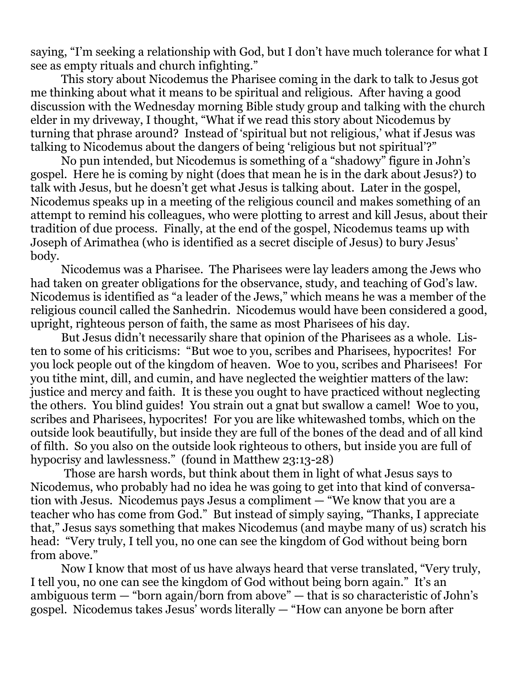saying, "I'm seeking a relationship with God, but I don't have much tolerance for what I see as empty rituals and church infighting."

 This story about Nicodemus the Pharisee coming in the dark to talk to Jesus got me thinking about what it means to be spiritual and religious. After having a good discussion with the Wednesday morning Bible study group and talking with the church elder in my driveway, I thought, "What if we read this story about Nicodemus by turning that phrase around? Instead of 'spiritual but not religious,' what if Jesus was talking to Nicodemus about the dangers of being 'religious but not spiritual'?"

 No pun intended, but Nicodemus is something of a "shadowy" figure in John's gospel. Here he is coming by night (does that mean he is in the dark about Jesus?) to talk with Jesus, but he doesn't get what Jesus is talking about. Later in the gospel, Nicodemus speaks up in a meeting of the religious council and makes something of an attempt to remind his colleagues, who were plotting to arrest and kill Jesus, about their tradition of due process. Finally, at the end of the gospel, Nicodemus teams up with Joseph of Arimathea (who is identified as a secret disciple of Jesus) to bury Jesus' body.

 Nicodemus was a Pharisee. The Pharisees were lay leaders among the Jews who had taken on greater obligations for the observance, study, and teaching of God's law. Nicodemus is identified as "a leader of the Jews," which means he was a member of the religious council called the Sanhedrin. Nicodemus would have been considered a good, upright, righteous person of faith, the same as most Pharisees of his day.

 But Jesus didn't necessarily share that opinion of the Pharisees as a whole. Listen to some of his criticisms: "But woe to you, scribes and Pharisees, hypocrites! For you lock people out of the kingdom of heaven. Woe to you, scribes and Pharisees! For you tithe mint, dill, and cumin, and have neglected the weightier matters of the law: justice and mercy and faith. It is these you ought to have practiced without neglecting the others. You blind guides! You strain out a gnat but swallow a camel! Woe to you, scribes and Pharisees, hypocrites! For you are like whitewashed tombs, which on the outside look beautifully, but inside they are full of the bones of the dead and of all kind of filth. So you also on the outside look righteous to others, but inside you are full of hypocrisy and lawlessness." (found in Matthew 23:13-28)

 Those are harsh words, but think about them in light of what Jesus says to Nicodemus, who probably had no idea he was going to get into that kind of conversation with Jesus. Nicodemus pays Jesus a compliment — "We know that you are a teacher who has come from God." But instead of simply saying, "Thanks, I appreciate that," Jesus says something that makes Nicodemus (and maybe many of us) scratch his head: "Very truly, I tell you, no one can see the kingdom of God without being born from above."

 Now I know that most of us have always heard that verse translated, "Very truly, I tell you, no one can see the kingdom of God without being born again." It's an ambiguous term — "born again/born from above" — that is so characteristic of John's gospel. Nicodemus takes Jesus' words literally — "How can anyone be born after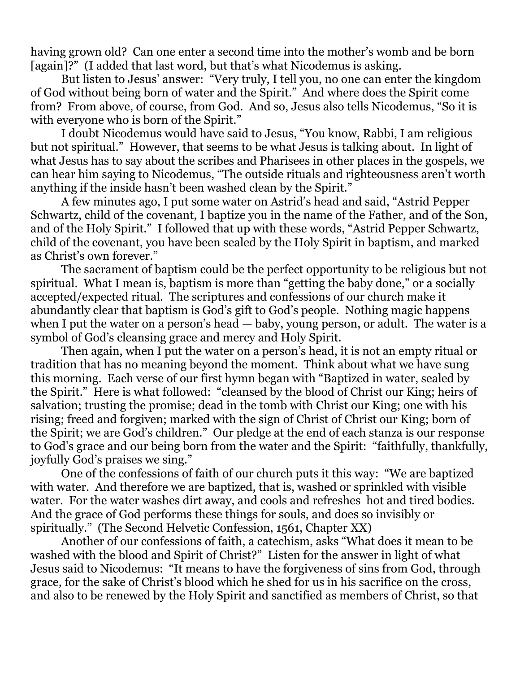having grown old? Can one enter a second time into the mother's womb and be born [again]?" (I added that last word, but that's what Nicodemus is asking.

 But listen to Jesus' answer: "Very truly, I tell you, no one can enter the kingdom of God without being born of water and the Spirit." And where does the Spirit come from? From above, of course, from God. And so, Jesus also tells Nicodemus, "So it is with everyone who is born of the Spirit."

 I doubt Nicodemus would have said to Jesus, "You know, Rabbi, I am religious but not spiritual." However, that seems to be what Jesus is talking about. In light of what Jesus has to say about the scribes and Pharisees in other places in the gospels, we can hear him saying to Nicodemus, "The outside rituals and righteousness aren't worth anything if the inside hasn't been washed clean by the Spirit."

 A few minutes ago, I put some water on Astrid's head and said, "Astrid Pepper Schwartz, child of the covenant, I baptize you in the name of the Father, and of the Son, and of the Holy Spirit." I followed that up with these words, "Astrid Pepper Schwartz, child of the covenant, you have been sealed by the Holy Spirit in baptism, and marked as Christ's own forever."

 The sacrament of baptism could be the perfect opportunity to be religious but not spiritual. What I mean is, baptism is more than "getting the baby done," or a socially accepted/expected ritual. The scriptures and confessions of our church make it abundantly clear that baptism is God's gift to God's people. Nothing magic happens when I put the water on a person's head — baby, young person, or adult. The water is a symbol of God's cleansing grace and mercy and Holy Spirit.

 Then again, when I put the water on a person's head, it is not an empty ritual or tradition that has no meaning beyond the moment. Think about what we have sung this morning. Each verse of our first hymn began with "Baptized in water, sealed by the Spirit." Here is what followed: "cleansed by the blood of Christ our King; heirs of salvation; trusting the promise; dead in the tomb with Christ our King; one with his rising; freed and forgiven; marked with the sign of Christ of Christ our King; born of the Spirit; we are God's children." Our pledge at the end of each stanza is our response to God's grace and our being born from the water and the Spirit: "faithfully, thankfully, joyfully God's praises we sing."

 One of the confessions of faith of our church puts it this way: "We are baptized with water. And therefore we are baptized, that is, washed or sprinkled with visible water. For the water washes dirt away, and cools and refreshes hot and tired bodies. And the grace of God performs these things for souls, and does so invisibly or spiritually." (The Second Helvetic Confession, 1561, Chapter XX)

 Another of our confessions of faith, a catechism, asks "What does it mean to be washed with the blood and Spirit of Christ?" Listen for the answer in light of what Jesus said to Nicodemus: "It means to have the forgiveness of sins from God, through grace, for the sake of Christ's blood which he shed for us in his sacrifice on the cross, and also to be renewed by the Holy Spirit and sanctified as members of Christ, so that